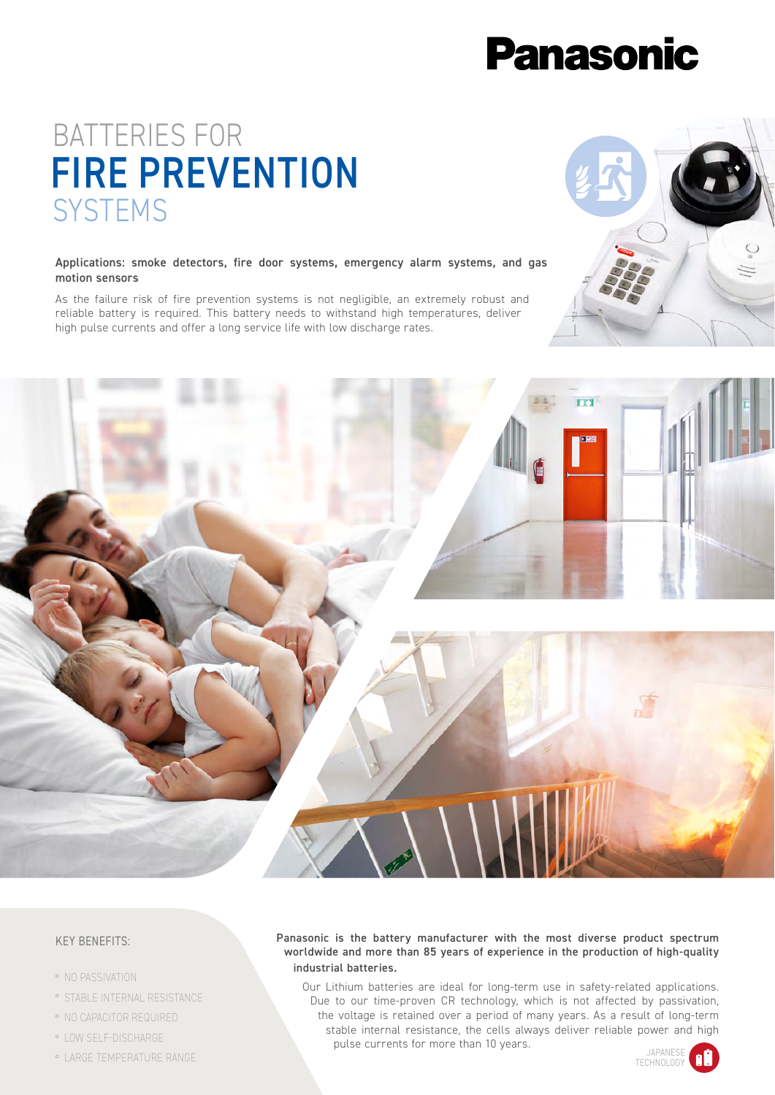# **Panasonic**

## BATTERIES FOR FIRE PREVENTION **SYSTEMS**

## Applications: smoke detectors, fire door systems, emergency alarm systems, and gas motion sensors

As the failure risk of fire prevention systems is not negligible, an extremely robust and reliable battery is required. This battery needs to withstand high temperatures, deliver high pulse currents and offer a long service life with low discharge rates.





## KEY BENEFITS:

- ° NO PASSIVATION
- ° STABLE INTERNAL RESISTANCE
- ° NO CAPACITOR REQUIRED
- ° LOW SELF-DISCHARGE
- ° LARGE TEMPERATURE RANGE

## Panasonic is the battery manufacturer with the most diverse product spectrum worldwide and more than 85 years of experience in the production of high-quality industrial batteries.

Our Lithium batteries are ideal for long-term use in safety-related applications. Due to our time-proven CR technology, which is not affected by passivation, the voltage is retained over a period of many years. As a result of long-term stable internal resistance, the cells always deliver reliable power and high pulse currents for more than 10 years.